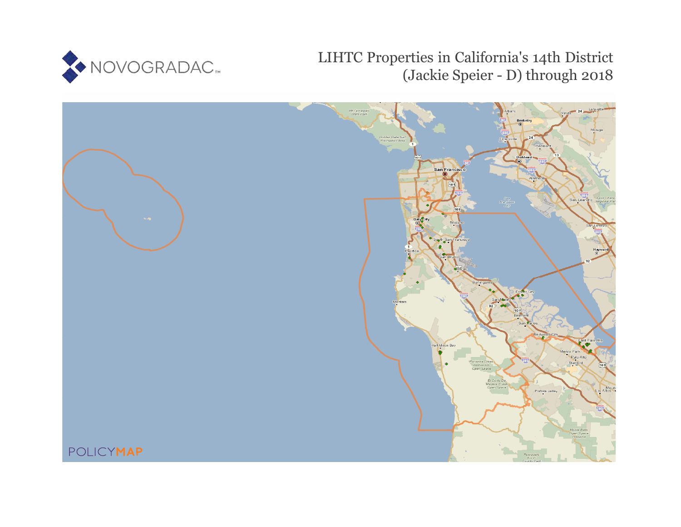

# LIHTC Properties in California's 14th District (Jackie Speier - D) through 2018

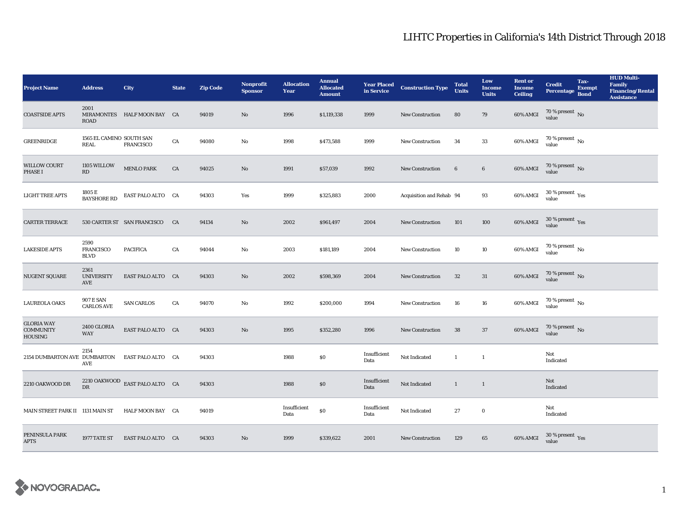| <b>Project Name</b>                                     | <b>Address</b>                          | City                           | <b>State</b> | <b>Zip Code</b> | Nonprofit<br><b>Sponsor</b> | <b>Allocation</b><br>Year | <b>Annual</b><br><b>Allocated</b><br><b>Amount</b> | <b>Year Placed<br/>in Service</b> | <b>Construction Type</b> | <b>Total</b><br><b>Units</b> | Low<br><b>Income</b><br><b>Units</b> | <b>Rent or</b><br><b>Income</b><br><b>Ceiling</b> | <b>Credit</b><br><b>Percentage</b>        | Tax-<br><b>Exempt</b><br><b>Bond</b> | <b>HUD Multi-</b><br>Family<br><b>Financing/Rental</b><br><b>Assistance</b> |
|---------------------------------------------------------|-----------------------------------------|--------------------------------|--------------|-----------------|-----------------------------|---------------------------|----------------------------------------------------|-----------------------------------|--------------------------|------------------------------|--------------------------------------|---------------------------------------------------|-------------------------------------------|--------------------------------------|-----------------------------------------------------------------------------|
| <b>COASTSIDE APTS</b>                                   | 2001<br>ROAD                            | MIRAMONTES HALF MOON BAY CA    |              | 94019           | $\mathbf{No}$               | 1996                      | \$1,119,338                                        | 1999                              | New Construction         | 80                           | 79                                   | 60% AMGI                                          | $70$ % present $\,$ No value              |                                      |                                                                             |
| <b>GREENRIDGE</b>                                       | 1565 EL CAMINO SOUTH SAN<br><b>REAL</b> | <b>FRANCISCO</b>               | CA           | 94080           | $\mathbf{No}$               | 1998                      | \$473,588                                          | 1999                              | New Construction         | 34                           | $33\,$                               | 60% AMGI                                          | 70 % present $\,$ No $\,$<br>value        |                                      |                                                                             |
| <b>WILLOW COURT</b><br><b>PHASE I</b>                   | 1105 WILLOW<br>RD                       | <b>MENLO PARK</b>              | ${\rm CA}$   | 94025           | $\rm No$                    | 1991                      | \$57,039                                           | 1992                              | <b>New Construction</b>  | $6\phantom{.}6$              | $\bf 6$                              | 60% AMGI                                          | $70$ % present $\,$ No value              |                                      |                                                                             |
| <b>LIGHT TREE APTS</b>                                  | 1805 E<br><b>BAYSHORE RD</b>            | EAST PALO ALTO CA              |              | 94303           | Yes                         | 1999                      | \$325,883                                          | 2000                              | Acquisition and Rehab 94 |                              | 93                                   | 60% AMGI                                          | $30\,\%$ present $\,$ $\rm{Yes}$<br>value |                                      |                                                                             |
| <b>CARTER TERRACE</b>                                   |                                         | 530 CARTER ST SAN FRANCISCO CA |              | 94134           | $\mathbf{N}\mathbf{o}$      | 2002                      | \$961,497                                          | 2004                              | <b>New Construction</b>  | 101                          | 100                                  | 60% AMGI                                          | $30\,\%$ present $\,\mathrm{Yes}$ value   |                                      |                                                                             |
| <b>LAKESIDE APTS</b>                                    | 2590<br><b>FRANCISCO</b><br><b>BLVD</b> | <b>PACIFICA</b>                | CA           | 94044           | No                          | 2003                      | \$181,189                                          | 2004                              | New Construction         | 10                           | 10                                   | 60% AMGI                                          | $70$ % present $\,$ No $\,$<br>value      |                                      |                                                                             |
| <b>NUGENT SQUARE</b>                                    | 2361<br><b>UNIVERSITY</b><br>AVE        | EAST PALO ALTO CA              |              | 94303           | $\mathbf{No}$               | 2002                      | \$598,369                                          | 2004                              | New Construction         | $32\,$                       | 31                                   | 60% AMGI                                          | $70\,\%$ present $\,$ No value            |                                      |                                                                             |
| <b>LAUREOLA OAKS</b>                                    | <b>907 E SAN</b><br><b>CARLOS AVE</b>   | <b>SAN CARLOS</b>              | CA           | 94070           | No                          | 1992                      | \$200,000                                          | 1994                              | <b>New Construction</b>  | 16                           | 16                                   | 60% AMGI                                          | $70$ % present $\,$ No $\,$<br>value      |                                      |                                                                             |
| <b>GLORIA WAY</b><br><b>COMMUNITY</b><br><b>HOUSING</b> | 2400 GLORIA<br><b>WAY</b>               | EAST PALO ALTO CA              |              | 94303           | $\mathbf{No}$               | 1995                      | \$352,280                                          | 1996                              | New Construction         | ${\bf 38}$                   | 37                                   | 60% AMGI                                          | $70\,\%$ present $\,$ No value            |                                      |                                                                             |
| 2154 DUMBARTON AVE DUMBARTON                            | 2154<br>AVE                             | EAST PALO ALTO CA              |              | 94303           |                             | 1988                      | $\$0$                                              | Insufficient<br>Data              | Not Indicated            | $\mathbf{1}$                 | $\mathbf{1}$                         |                                                   | Not<br>Indicated                          |                                      |                                                                             |
| 2210 OAKWOOD DR                                         | DR                                      | 2210 OAKWOOD EAST PALO ALTO CA |              | 94303           |                             | 1988                      | \$0                                                | Insufficient<br>Data              | Not Indicated            | $\mathbf{1}$                 | $\mathbf{1}$                         |                                                   | Not<br>Indicated                          |                                      |                                                                             |
| MAIN STREET PARK II 1131 MAIN ST                        |                                         | HALF MOON BAY CA               |              | 94019           |                             | Insufficient<br>Data      | $\$0$                                              | Insufficient<br>Data              | Not Indicated            | 27                           | $\bf{0}$                             |                                                   | Not<br>Indicated                          |                                      |                                                                             |
| PENINSULA PARK<br><b>APTS</b>                           | 1977 TATE ST                            | EAST PALO ALTO CA              |              | 94303           | No                          | 1999                      | \$339,622                                          | 2001                              | <b>New Construction</b>  | 129                          | 65                                   | 60% AMGI                                          | $30\,\%$ present $\,$ Yes value           |                                      |                                                                             |

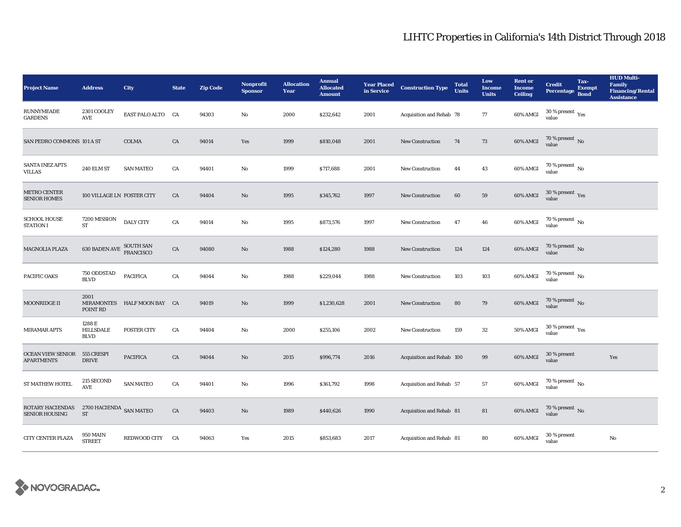| <b>Project Name</b>                              | <b>Address</b>                                       | City                        | <b>State</b> | <b>Zip Code</b> | <b>Nonprofit</b><br><b>Sponsor</b> | <b>Allocation</b><br>Year | <b>Annual</b><br><b>Allocated</b><br><b>Amount</b> |      | <b>Year Placed Construction Type</b><br>in Service | <b>Total</b><br><b>Units</b> | Low<br><b>Income</b><br><b>Units</b> | <b>Rent or</b><br><b>Income</b><br><b>Ceiling</b> | <b>Credit</b><br><b>Percentage</b>      | Tax-<br><b>Exempt</b><br><b>Bond</b> | <b>HUD Multi-</b><br>Family<br><b>Financing/Rental</b><br><b>Assistance</b> |
|--------------------------------------------------|------------------------------------------------------|-----------------------------|--------------|-----------------|------------------------------------|---------------------------|----------------------------------------------------|------|----------------------------------------------------|------------------------------|--------------------------------------|---------------------------------------------------|-----------------------------------------|--------------------------------------|-----------------------------------------------------------------------------|
| RUNNYMEADE<br><b>GARDENS</b>                     | 2301 COOLEY<br>$\operatorname{AVE}$                  | EAST PALO ALTO CA           |              | 94303           | No                                 | 2000                      | \$232,642                                          | 2001 | Acquisition and Rehab 78                           |                              | 77                                   | 60% AMGI                                          | $30$ % present $\,$ $\rm Yes$<br>value  |                                      |                                                                             |
| SAN PEDRO COMMONS 101 A ST                       |                                                      | <b>COLMA</b>                | CA           | 94014           | Yes                                | 1999                      | \$810,048                                          | 2001 | New Construction                                   | 74                           | 73                                   | 60% AMGI                                          | $70$ % present $\,$ No value            |                                      |                                                                             |
| <b>SANTA INEZ APTS</b><br><b>VILLAS</b>          | 240 ELM ST                                           | <b>SAN MATEO</b>            | CA           | 94401           | No                                 | 1999                      | \$717,688                                          | 2001 | <b>New Construction</b>                            | 44                           | 43                                   | 60% AMGI                                          | $70$ % present $\,$ No value            |                                      |                                                                             |
| <b>METRO CENTER</b><br><b>SENIOR HOMES</b>       | 100 VILLAGE LN FOSTER CITY                           |                             | CA           | 94404           | $\mathbf{N}\mathbf{o}$             | 1995                      | \$345,762                                          | 1997 | New Construction                                   | 60                           | ${\bf 59}$                           | 60% AMGI                                          | $30\,\%$ present $\,$ Yes value         |                                      |                                                                             |
| <b>SCHOOL HOUSE</b><br><b>STATION I</b>          | 7200 MISSION<br><b>ST</b>                            | <b>DALY CITY</b>            | ${\rm CA}$   | 94014           | $\mathbf {No}$                     | 1995                      | \$873,576                                          | 1997 | New Construction                                   | 47                           | 46                                   | 60% AMGI                                          | $70$ % present $\,$ No value            |                                      |                                                                             |
| MAGNOLIA PLAZA                                   | <b>630 BADEN AVE SOUTH SAN</b>                       |                             | ${\rm CA}$   | 94080           | $\mathbf{N}\mathbf{o}$             | 1988                      | \$124,280                                          | 1988 | <b>New Construction</b>                            | 124                          | 124                                  | 60% AMGI                                          | $70$ % present $\,$ No value            |                                      |                                                                             |
| PACIFIC OAKS                                     | 750 ODDSTAD<br><b>BLVD</b>                           | <b>PACIFICA</b>             | CA           | 94044           | No                                 | 1988                      | \$229,044                                          | 1988 | <b>New Construction</b>                            | 103                          | 103                                  | 60% AMGI                                          | 70 % present $\,$ No $\,$<br>value      |                                      |                                                                             |
| MOONRIDGE II                                     | 2001<br>POINT RD                                     | MIRAMONTES HALF MOON BAY CA |              | 94019           | $\mathbf{N}\mathbf{o}$             | 1999                      | \$1,230,628                                        | 2001 | New Construction                                   | 80                           | 79                                   | 60% AMGI                                          | $70$ % present $\,$ No value            |                                      |                                                                             |
| MIRAMAR APTS                                     | 1288 E<br>HILLSDALE<br><b>BLVD</b>                   | <b>FOSTER CITY</b>          | CA           | 94404           | $\mathbf{N}\mathbf{o}$             | 2000                      | \$255,106                                          | 2002 | New Construction                                   | 159                          | ${\bf 32}$                           | <b>50% AMGI</b>                                   | $30\,\%$ present $\,\mathrm{Yes}$ value |                                      |                                                                             |
| <b>OCEAN VIEW SENIOR</b><br><b>APARTMENTS</b>    | 555 CRESPI<br><b>DRIVE</b>                           | <b>PACIFICA</b>             | CA           | 94044           | $\mathbf{N}\mathbf{o}$             | 2015                      | \$996,774                                          | 2016 | Acquisition and Rehab 100                          |                              | 99                                   | 60% AMGI                                          | 30 % present<br>value                   |                                      | Yes                                                                         |
| <b>ST MATHEW HOTEL</b>                           | 215 SECOND<br>AVE                                    | <b>SAN MATEO</b>            | CA           | 94401           | No                                 | 1996                      | \$361,792                                          | 1998 | Acquisition and Rehab 57                           |                              | $57\,$                               | 60% AMGI                                          | $70\,\%$ present $_{\rm{No}}$           |                                      |                                                                             |
| <b>ROTARY HACIENDAS</b><br><b>SENIOR HOUSING</b> | $2700\ \mathrm{HACIENDA}\ \mathrm{SAN\ MATEO}$<br>ST |                             | CA           | 94403           | $\mathbf{N}\mathbf{o}$             | 1989                      | \$440,626                                          | 1990 | Acquisition and Rehab 81                           |                              | 81                                   | $60\%$ AMGI                                       | $70\,\%$ present $\,$ No value          |                                      |                                                                             |
| CITY CENTER PLAZA                                | <b>950 MAIN</b><br><b>STREET</b>                     | REDWOOD CITY                | <b>CA</b>    | 94063           | Yes                                | 2015                      | \$853,683                                          | 2017 | Acquisition and Rehab 81                           |                              | 80                                   | 60% AMGI                                          | 30 % present<br>value                   |                                      | $\rm No$                                                                    |

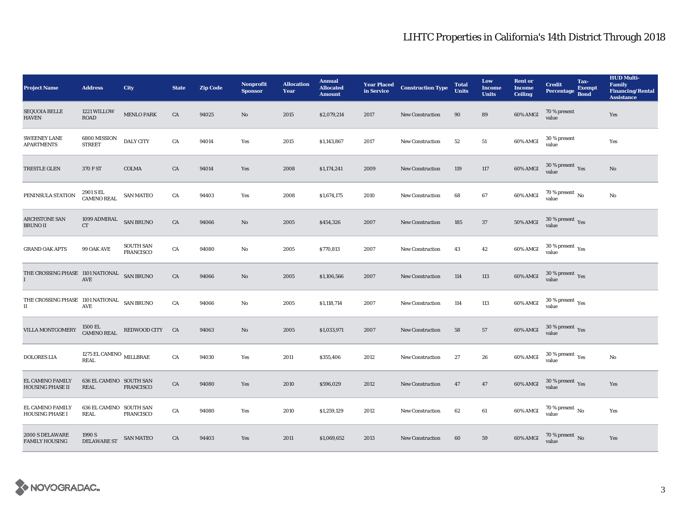| <b>Project Name</b>                                    | <b>Address</b>                                   | City                          | <b>State</b> | <b>Zip Code</b> | Nonprofit<br><b>Sponsor</b> | <b>Allocation</b><br>Year | <b>Annual</b><br><b>Allocated</b><br><b>Amount</b> | <b>Year Placed<br/>in Service</b> | <b>Construction Type</b> | <b>Total</b><br><b>Units</b> | Low<br><b>Income</b><br><b>Units</b> | <b>Rent or</b><br><b>Income</b><br><b>Ceiling</b> | <b>Credit</b><br>Percentage Bond                | Tax-<br><b>Exempt</b> | <b>HUD Multi-</b><br><b>Family</b><br><b>Financing/Rental</b><br><b>Assistance</b> |
|--------------------------------------------------------|--------------------------------------------------|-------------------------------|--------------|-----------------|-----------------------------|---------------------------|----------------------------------------------------|-----------------------------------|--------------------------|------------------------------|--------------------------------------|---------------------------------------------------|-------------------------------------------------|-----------------------|------------------------------------------------------------------------------------|
| <b>SEQUOIA BELLE</b><br><b>HAVEN</b>                   | 1221 WILLOW<br><b>ROAD</b>                       | <b>MENLO PARK</b>             | CA           | 94025           | No                          | 2015                      | \$2,079,214                                        | 2017                              | New Construction         | 90                           | 89                                   | <b>60% AMGI</b>                                   | 70 % present<br>value                           |                       | Yes                                                                                |
| <b>SWEENEY LANE</b><br><b>APARTMENTS</b>               | 6800 MISSION<br><b>STREET</b>                    | <b>DALY CITY</b>              | ${\rm CA}$   | 94014           | Yes                         | 2015                      | \$1,143,867                                        | 2017                              | <b>New Construction</b>  | 52                           | 51                                   | 60% AMGI                                          | 30 % present<br>value                           |                       | Yes                                                                                |
| TRESTLE GLEN                                           | 370 F ST                                         | <b>COLMA</b>                  | ${\rm CA}$   | 94014           | Yes                         | 2008                      | \$1,174,241                                        | 2009                              | <b>New Construction</b>  | 119                          | $117\,$                              | 60% AMGI                                          | $30\,\%$ present $\,$ Yes value                 |                       | No                                                                                 |
| PENINSULA STATION                                      | 2901 S EL<br><b>CAMINO REAL</b>                  | <b>SAN MATEO</b>              | CA           | 94403           | Yes                         | 2008                      | \$1,674,175                                        | 2010                              | <b>New Construction</b>  | 68                           | 67                                   | 60% AMGI                                          | 70 % present $\,$ No $\,$<br>value              |                       | No                                                                                 |
| ARCHSTONE SAN<br><b>BRUNO II</b>                       | $1099$ ADMIRAL $\_$ SAN BRUNO $\,$<br>CT         |                               | CA           | 94066           | No                          | 2005                      | \$454,326                                          | 2007                              | <b>New Construction</b>  | 185                          | 37                                   | <b>50% AMGI</b>                                   | $30\,\%$ present $\,$ Yes value                 |                       |                                                                                    |
| <b>GRAND OAK APTS</b>                                  | 99 OAK AVE                                       | <b>SOUTH SAN</b><br>FRANCISCO | ${\rm CA}$   | 94080           | No                          | 2005                      | \$770,813                                          | 2007                              | <b>New Construction</b>  | 43                           | 42                                   | 60% AMGI                                          | $30\,\%$ present $\,$ Yes value                 |                       |                                                                                    |
| THE CROSSING PHASE 1101 NATIONAL SAN BRUNO             | AVE                                              |                               | CA           | 94066           | No                          | 2005                      | \$1,106,566                                        | 2007                              | <b>New Construction</b>  | 114                          | 113                                  | 60% AMGI                                          | $30\,\%$ present $\,$ Yes value                 |                       |                                                                                    |
| THE CROSSING PHASE 1101 NATIONAL SAN BRUNO<br>$\rm II$ | AVE                                              |                               | ${\rm CA}$   | 94066           | No                          | 2005                      | \$1,118,714                                        | 2007                              | <b>New Construction</b>  | 114                          | 113                                  | 60% AMGI                                          | $30\,\%$ present $\rm\thinspace_{Yes}$<br>value |                       |                                                                                    |
| VILLA MONTGOMERY                                       | 1500 EL<br>CAMINO REAL                           | REDWOOD CITY CA               |              | 94063           | No                          | 2005                      | \$1,033,971                                        | 2007                              | <b>New Construction</b>  | 58                           | 57                                   | 60% AMGI                                          | $30\,\%$ present $\,\mathrm{Yes}$ value         |                       |                                                                                    |
| <b>DOLORES LIA</b>                                     | 1275 EL CAMINO $_{\rm ~MILLBRAE}$<br><b>REAL</b> |                               | CA           | 94030           | Yes                         | 2011                      | \$355,406                                          | 2012                              | <b>New Construction</b>  | 27                           | 26                                   | 60% AMGI                                          | $30\,\%$ present $\,\mathrm{Yes}$ value         |                       | No                                                                                 |
| <b>EL CAMINO FAMILY</b><br><b>HOUSING PHASE II</b>     | 636 EL CAMINO SOUTH SAN<br>REAL                  | <b>FRANCISCO</b>              | CA           | 94080           | Yes                         | 2010                      | \$596,029                                          | 2012                              | <b>New Construction</b>  | 47                           | 47                                   | 60% AMGI                                          | $30\,\%$ present $\,\mathrm{Yes}$ value         |                       | Yes                                                                                |
| EL CAMINO FAMILY<br><b>HOUSING PHASE I</b>             | 636 EL CAMINO SOUTH SAN<br><b>REAL</b>           | FRANCISCO                     | ${\rm CA}$   | 94080           | Yes                         | 2010                      | \$1,259,129                                        | 2012                              | <b>New Construction</b>  | 62                           | 61                                   | 60% AMGI                                          | $70\,\%$ present $\,$ No value                  |                       | Yes                                                                                |
| 2000 S DELAWARE<br><b>FAMILY HOUSING</b>               | 1990 S<br><b>DELAWARE ST</b>                     | <b>SAN MATEO</b>              | ${\rm CA}$   | 94403           | Yes                         | 2011                      | \$1,069,652                                        | 2013                              | <b>New Construction</b>  | 60                           | 59                                   | 60% AMGI                                          | $70\,\%$ present $_{\rm{No}}$                   |                       | Yes                                                                                |

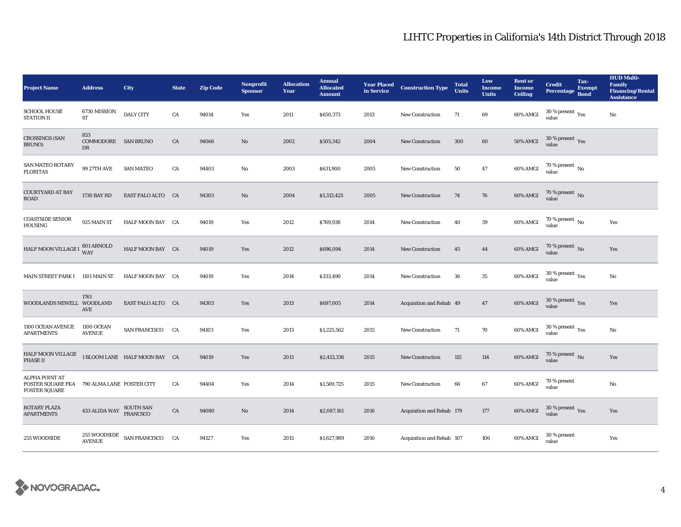| <b>Project Name</b>                                                                          | <b>Address</b>                   | City                          | <b>State</b> | <b>Zip Code</b> | <b>Nonprofit</b><br><b>Sponsor</b> | <b>Allocation</b><br>Year | <b>Annual</b><br><b>Allocated</b><br><b>Amount</b> | <b>Year Placed</b><br>in Service | <b>Construction Type</b>  | <b>Total</b><br><b>Units</b> | Low<br><b>Income</b><br><b>Units</b> | <b>Rent or</b><br><b>Income</b><br><b>Ceiling</b> | <b>Credit</b><br><b>Percentage</b>              | Tax-<br><b>Exempt</b><br><b>Bond</b> | <b>HUD Multi-</b><br><b>Family</b><br><b>Financing/Rental</b><br><b>Assistance</b> |
|----------------------------------------------------------------------------------------------|----------------------------------|-------------------------------|--------------|-----------------|------------------------------------|---------------------------|----------------------------------------------------|----------------------------------|---------------------------|------------------------------|--------------------------------------|---------------------------------------------------|-------------------------------------------------|--------------------------------------|------------------------------------------------------------------------------------|
| <b>SCHOOL HOUSE</b><br><b>STATION II</b>                                                     | 6730 MISSION<br>ST               | <b>DALY CITY</b>              | CA           | 94014           | Yes                                | 2011                      | \$650,373                                          | 2013                             | <b>New Construction</b>   | 71                           | 69                                   | 60% AMGI                                          | $30$ % present $\,$ $\rm Yes$<br>value          |                                      | No                                                                                 |
| <b>CROSSINGS (SAN</b><br>BRUNO)                                                              | 853<br>COMMODORE SAN BRUNO<br>DR |                               | CA           | 94066           | No                                 | 2002                      | \$505,342                                          | 2004                             | New Construction          | 300                          | $\bf{60}$                            | <b>50% AMGI</b>                                   | $30\ \%$ present $\ \ \gamma_{\rm e s}$         |                                      |                                                                                    |
| SAN MATEO ROTARY<br><b>FLORITAS</b>                                                          | <b>99 27TH AVE</b>               | <b>SAN MATEO</b>              | CA           | 94403           | No                                 | 2003                      | \$631,900                                          | 2005                             | <b>New Construction</b>   | 50                           | 47                                   | 60% AMGI                                          | $70$ % present $\,$ $_{\rm No}$<br>value        |                                      |                                                                                    |
| <b>COURTYARD AT BAY</b><br><b>ROAD</b>                                                       | <b>1730 BAY RD</b>               | EAST PALO ALTO CA             |              | 94303           | No                                 | 2004                      | \$1,313,425                                        | 2005                             | New Construction          | 74                           | 76                                   | 60% AMGI                                          | 70 % present $\,$ No $\,$<br>value              |                                      |                                                                                    |
| <b>COASTSIDE SENIOR</b><br>HOUSING                                                           | 925 MAIN ST                      | HALF MOON BAY CA              |              | 94019           | Yes                                | 2012                      | \$769,938                                          | 2014                             | <b>New Construction</b>   | 40                           | 39                                   | 60% AMGI                                          | 70 % present $\,$ No $\,$<br>value              |                                      | Yes                                                                                |
| HALF MOON VILLAGE I 801 ARNOLD                                                               |                                  | HALF MOON BAY CA              |              | 94019           | Yes                                | 2012                      | \$696,094                                          | 2014                             | <b>New Construction</b>   | 45                           | 44                                   | 60% AMGI                                          | 70 % present $\hbox{~No}$<br>value              |                                      | Yes                                                                                |
| MAIN STREET PARK I 1101 MAIN ST                                                              |                                  | HALF MOON BAY CA              |              | 94019           | Yes                                | 2014                      | \$333,490                                          | 2014                             | <b>New Construction</b>   | 36                           | 35                                   | 60% AMGI                                          | $30\,\%$ present $\rm\thinspace_{Yes}$<br>value |                                      | No                                                                                 |
| WOODLANDS NEWELL WOODLAND                                                                    | 1761<br>AVE                      | EAST PALO ALTO CA             |              | 94303           | Yes                                | 2013                      | \$697,005                                          | 2014                             | Acquisition and Rehab 49  |                              | 47                                   | 60% AMGI                                          | 30 % present $\gamma_{\rm e s}$<br>value        |                                      | Yes                                                                                |
| 1100 OCEAN AVENUE<br><b>APARTMENTS</b>                                                       | 1100 OCEAN<br><b>AVENUE</b>      | SAN FRANCISCO CA              |              | 94103           | Yes                                | 2013                      | \$1,225,562                                        | 2015                             | New Construction          | 71                           | 70                                   | 60% AMGI                                          | 30 % present $\rm \gamma_{\rm es}$<br>value     |                                      | No                                                                                 |
| HALF MOON VILLAGE<br><b>PHASE II</b>                                                         |                                  | 1 BLOOM LANE HALF MOON BAY CA |              | 94019           | Yes                                | 2013                      | \$2,413,336                                        | 2015                             | <b>New Construction</b>   | 115                          | 114                                  | 60% AMGI                                          | 70 % present $\hbox{~No}$<br>value              |                                      | Yes                                                                                |
| <b>ALPHA POINT AT</b><br>FOSTER SQUARE FKA 790 ALMA LANE FOSTER CITY<br><b>FOSTER SQUARE</b> |                                  |                               | CA           | 94404           | Yes                                | 2014                      | \$1,569,725                                        | 2015                             | New Construction          | 66                           | 67                                   | 60% AMGI                                          | 70 % present<br>value                           |                                      | $\rm No$                                                                           |
| ROTARY PLAZA<br><b>APARTMENTS</b>                                                            | 433 ALIDA WAY                    | SOUTH SAN<br>FRANCSCO         | ${\rm CA}$   | 94080           | No                                 | 2014                      | \$2,087,161                                        | 2016                             | Acquisition and Rehab 179 |                              | 177                                  | 60% AMGI                                          | $30$ % present $\,$ $\rm Yes$<br>value          |                                      | Yes                                                                                |
| 255 WOODSIDE                                                                                 | 255 WOODSIDE<br><b>AVENUE</b>    | SAN FRANCISCO CA              |              | 94127           | Yes                                | 2015                      | \$1,627,989                                        | 2016                             | Acquisition and Rehab 107 |                              | 106                                  | 60% AMGI                                          | 30 % present<br>value                           |                                      | Yes                                                                                |